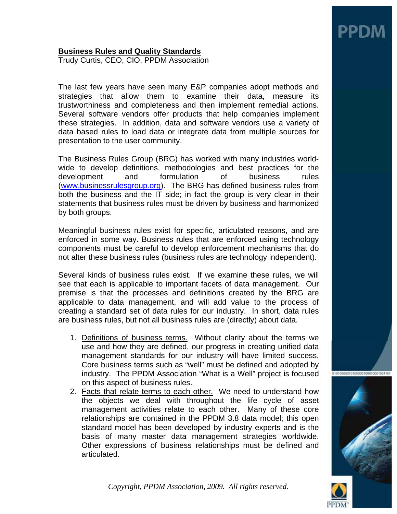# **Business Rules and Quality Standards**

Trudy Curtis, CEO, CIO, PPDM Association

The last few years have seen many E&P companies adopt methods and strategies that allow them to examine their data, measure its trustworthiness and completeness and then implement remedial actions. Several software vendors offer products that help companies implement these strategies. In addition, data and software vendors use a variety of data based rules to load data or integrate data from multiple sources for presentation to the user community.

The Business Rules Group (BRG) has worked with many industries worldwide to develop definitions, methodologies and best practices for the development and formulation of business rules (www.businessrulesgroup.org). The BRG has defined business rules from both the business and the IT side; in fact the group is very clear in their statements that business rules must be driven by business and harmonized by both groups.

Meaningful business rules exist for specific, articulated reasons, and are enforced in some way. Business rules that are enforced using technology components must be careful to develop enforcement mechanisms that do not alter these business rules (business rules are technology independent).

Several kinds of business rules exist. If we examine these rules, we will see that each is applicable to important facets of data management. Our premise is that the processes and definitions created by the BRG are applicable to data management, and will add value to the process of creating a standard set of data rules for our industry. In short, data rules are business rules, but not all business rules are (directly) about data.

- 1. Definitions of business terms. Without clarity about the terms we use and how they are defined, our progress in creating unified data management standards for our industry will have limited success. Core business terms such as "well" must be defined and adopted by industry. The PPDM Association "What is a Well" project is focused on this aspect of business rules.
- 2. Facts that relate terms to each other. We need to understand how the objects we deal with throughout the life cycle of asset management activities relate to each other. Many of these core relationships are contained in the PPDM 3.8 data model; this open standard model has been developed by industry experts and is the basis of many master data management strategies worldwide. Other expressions of business relationships must be defined and articulated.



*Copyright, PPDM Association, 2009. All rights reserved.*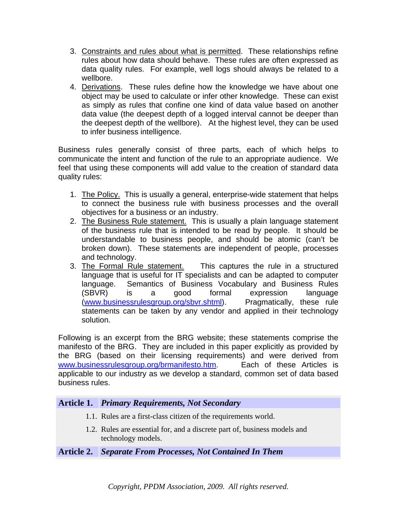- 3. Constraints and rules about what is permitted. These relationships refine rules about how data should behave. These rules are often expressed as data quality rules. For example, well logs should always be related to a wellbore.
- 4. Derivations. These rules define how the knowledge we have about one object may be used to calculate or infer other knowledge. These can exist as simply as rules that confine one kind of data value based on another data value (the deepest depth of a logged interval cannot be deeper than the deepest depth of the wellbore). At the highest level, they can be used to infer business intelligence.

Business rules generally consist of three parts, each of which helps to communicate the intent and function of the rule to an appropriate audience. We feel that using these components will add value to the creation of standard data quality rules:

- 1. The Policy. This is usually a general, enterprise-wide statement that helps to connect the business rule with business processes and the overall objectives for a business or an industry.
- 2. The Business Rule statement. This is usually a plain language statement of the business rule that is intended to be read by people. It should be understandable to business people, and should be atomic (can't be broken down). These statements are independent of people, processes and technology.
- 3. The Formal Rule statement. This captures the rule in a structured language that is useful for IT specialists and can be adapted to computer language. Semantics of Business Vocabulary and Business Rules (SBVR) is a good formal expression language (www.businessrulesgroup.org/sbvr.shtml). Pragmatically, these rule statements can be taken by any vendor and applied in their technology solution.

Following is an excerpt from the BRG website; these statements comprise the manifesto of the BRG. They are included in this paper explicitly as provided by the BRG (based on their licensing requirements) and were derived from www.businessrulesgroup.org/brmanifesto.htm. Each of these Articles is applicable to our industry as we develop a standard, common set of data based business rules.

# **Article 1.** *Primary Requirements, Not Secondary*

- 1.1. Rules are a first-class citizen of the requirements world.
- 1.2. Rules are essential for, and a discrete part of, business models and technology models.

## **Article 2.** *Separate From Processes, Not Contained In Them*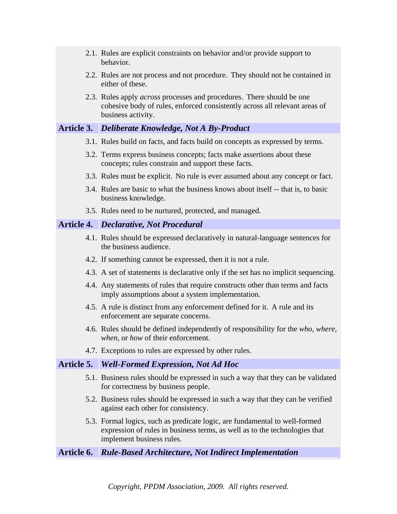- 2.1. Rules are explicit constraints on behavior and/or provide support to behavior.
- 2.2. Rules are not process and not procedure. They should not be contained in either of these.
- 2.3. Rules apply *across* processes and procedures. There should be one cohesive body of rules, enforced consistently across all relevant areas of business activity.

## **Article 3.** *Deliberate Knowledge, Not A By-Product*

- 3.1. Rules build on facts, and facts build on concepts as expressed by terms.
- 3.2. Terms express business concepts; facts make assertions about these concepts; rules constrain and support these facts.
- 3.3. Rules must be explicit. No rule is ever assumed about any concept or fact.
- 3.4. Rules are basic to what the business knows about itself -- that is, to basic business knowledge.
- 3.5. Rules need to be nurtured, protected, and managed.

## **Article 4.** *Declarative, Not Procedural*

- 4.1. Rules should be expressed declaratively in natural-language sentences for the business audience.
- 4.2. If something cannot be expressed, then it is not a rule.
- 4.3. A set of statements is declarative only if the set has no implicit sequencing.
- 4.4. Any statements of rules that require constructs other than terms and facts imply assumptions about a system implementation.
- 4.5. A rule is distinct from any enforcement defined for it. A rule and its enforcement are separate concerns.
- 4.6. Rules should be defined independently of responsibility for the *who*, *where*, *when*, or *how* of their enforcement.
- 4.7. Exceptions to rules are expressed by other rules.

## **Article 5.** *Well-Formed Expression, Not Ad Hoc*

- 5.1. Business rules should be expressed in such a way that they can be validated for correctness by business people.
- 5.2. Business rules should be expressed in such a way that they can be verified against each other for consistency.
- 5.3. Formal logics, such as predicate logic, are fundamental to well-formed expression of rules in business terms, as well as to the technologies that implement business rules.

## **Article 6.** *Rule-Based Architecture, Not Indirect Implementation*

*Copyright, PPDM Association, 2009. All rights reserved.*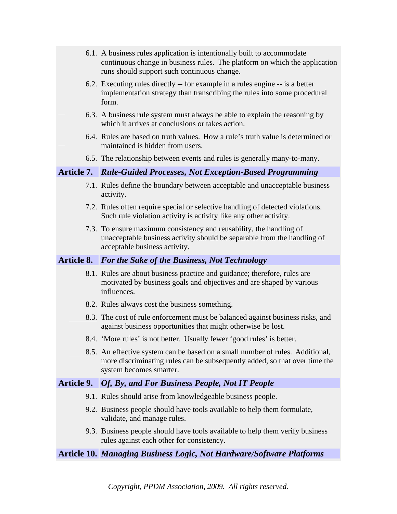- 6.1. A business rules application is intentionally built to accommodate continuous change in business rules. The platform on which the application runs should support such continuous change.
- 6.2. Executing rules directly -- for example in a rules engine -- is a better implementation strategy than transcribing the rules into some procedural form.
- 6.3. A business rule system must always be able to explain the reasoning by which it arrives at conclusions or takes action.
- 6.4. Rules are based on truth values. How a rule's truth value is determined or maintained is hidden from users.
- 6.5. The relationship between events and rules is generally many-to-many.

#### **Article 7.** *Rule-Guided Processes, Not Exception-Based Programming*

- 7.1. Rules define the boundary between acceptable and unacceptable business activity.
- 7.2. Rules often require special or selective handling of detected violations. Such rule violation activity is activity like any other activity.
- 7.3. To ensure maximum consistency and reusability, the handling of unacceptable business activity should be separable from the handling of acceptable business activity.

### **Article 8.** *For the Sake of the Business, Not Technology*

- 8.1. Rules are about business practice and guidance; therefore, rules are motivated by business goals and objectives and are shaped by various influences.
- 8.2. Rules always cost the business something.
- 8.3. The cost of rule enforcement must be balanced against business risks, and against business opportunities that might otherwise be lost.
- 8.4. 'More rules' is not better. Usually fewer 'good rules' is better.
- 8.5. An effective system can be based on a small number of rules. Additional, more discriminating rules can be subsequently added, so that over time the system becomes smarter.

### **Article 9.** *Of, By, and For Business People, Not IT People*

- 9.1. Rules should arise from knowledgeable business people.
- 9.2. Business people should have tools available to help them formulate, validate, and manage rules.
- 9.3. Business people should have tools available to help them verify business rules against each other for consistency.

## **Article 10.** *Managing Business Logic, Not Hardware/Software Platforms*